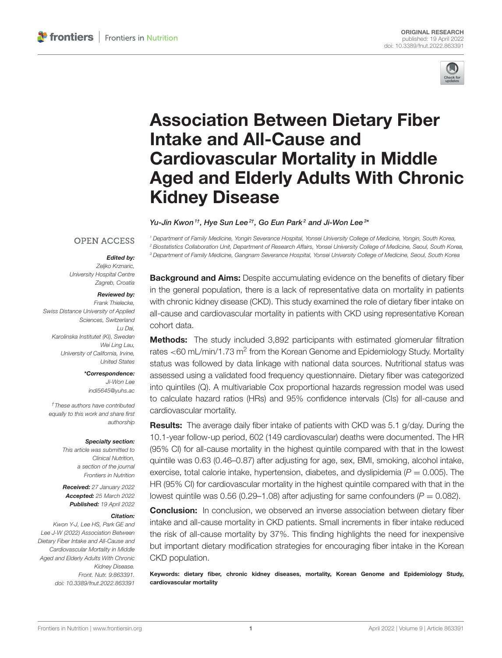

# Association Between Dietary Fiber Intake and All-Cause and Cardiovascular Mortality in Middle [Aged and Elderly Adults With Chronic](https://www.frontiersin.org/articles/10.3389/fnut.2022.863391/full) Kidney Disease

Yu-Jin Kwon $^{1\dagger}$ , Hye Sun Lee $^{2\dagger}$ , Go Eun Park $^2$  and Ji-Won Lee $^{3\dagger}$ 

#### **OPEN ACCESS**

#### Edited by:

*Zeljko Krznaric, University Hospital Centre Zagreb, Croatia*

#### Reviewed by:

*Frank Thielecke, Swiss Distance University of Applied Sciences, Switzerland Lu Dai, Karolinska Institutet (KI), Sweden Wei Ling Lau, University of California, Irvine, United States*

#### \*Correspondence:

*Ji-Won Lee [indi5645@yuhs.ac](mailto:indi5645@yuhs.ac)*

*†These authors have contributed equally to this work and share first authorship*

#### Specialty section:

*This article was submitted to Clinical Nutrition, a section of the journal Frontiers in Nutrition*

Received: *27 January 2022* Accepted: *25 March 2022* Published: *19 April 2022*

#### Citation:

*Kwon Y-J, Lee HS, Park GE and Lee J-W (2022) Association Between Dietary Fiber Intake and All-Cause and Cardiovascular Mortality in Middle Aged and Elderly Adults With Chronic Kidney Disease. Front. Nutr. 9:863391. doi: [10.3389/fnut.2022.863391](https://doi.org/10.3389/fnut.2022.863391)*

**Background and Aims:** Despite accumulating evidence on the benefits of dietary fiber in the general population, there is a lack of representative data on mortality in patients with chronic kidney disease (CKD). This study examined the role of dietary fiber intake on all-cause and cardiovascular mortality in patients with CKD using representative Korean cohort data.

*<sup>1</sup> Department of Family Medicine, Yongin Severance Hospital, Yonsei University College of Medicine, Yongin, South Korea, <sup>2</sup> Biostatistics Collaboration Unit, Department of Research Affairs, Yonsei University College of Medicine, Seoul, South Korea, <sup>3</sup> Department of Family Medicine, Gangnam Severance Hospital, Yonsei University College of Medicine, Seoul, South Korea*

**Methods:** The study included 3,892 participants with estimated glomerular filtration rates <60 mL/min/1.73 m<sup>2</sup> from the Korean Genome and Epidemiology Study. Mortality status was followed by data linkage with national data sources. Nutritional status was assessed using a validated food frequency questionnaire. Dietary fiber was categorized into quintiles (Q). A multivariable Cox proportional hazards regression model was used to calculate hazard ratios (HRs) and 95% confidence intervals (CIs) for all-cause and cardiovascular mortality.

Results: The average daily fiber intake of patients with CKD was 5.1 g/day. During the 10.1-year follow-up period, 602 (149 cardiovascular) deaths were documented. The HR (95% CI) for all-cause mortality in the highest quintile compared with that in the lowest quintile was 0.63 (0.46–0.87) after adjusting for age, sex, BMI, smoking, alcohol intake, exercise, total calorie intake, hypertension, diabetes, and dyslipidemia ( $P = 0.005$ ). The HR (95% CI) for cardiovascular mortality in the highest quintile compared with that in the lowest quintile was 0.56 (0.29–1.08) after adjusting for same confounders ( $P = 0.082$ ).

**Conclusion:** In conclusion, we observed an inverse association between dietary fiber intake and all-cause mortality in CKD patients. Small increments in fiber intake reduced the risk of all-cause mortality by 37%. This finding highlights the need for inexpensive but important dietary modification strategies for encouraging fiber intake in the Korean CKD population.

Keywords: dietary fiber, chronic kidney diseases, mortality, Korean Genome and Epidemiology Study, cardiovascular mortality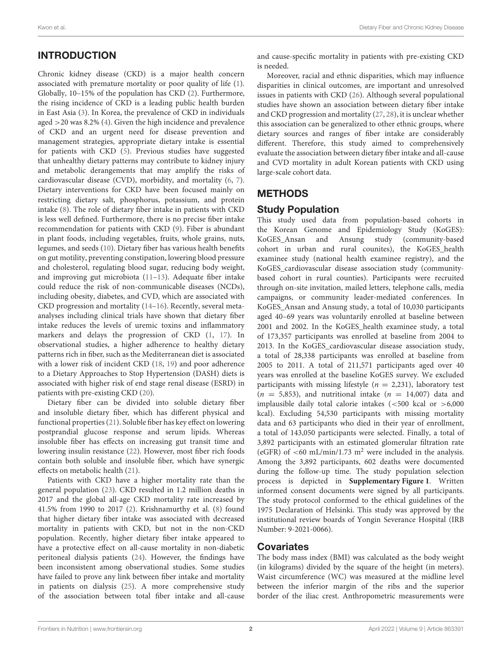# INTRODUCTION

Chronic kidney disease (CKD) is a major health concern associated with premature mortality or poor quality of life [\(1\)](#page-8-0). Globally, 10–15% of the population has CKD [\(2\)](#page-8-1). Furthermore, the rising incidence of CKD is a leading public health burden in East Asia [\(3\)](#page-8-2). In Korea, the prevalence of CKD in individuals aged >20 was 8.2% [\(4\)](#page-8-3). Given the high incidence and prevalence of CKD and an urgent need for disease prevention and management strategies, appropriate dietary intake is essential for patients with CKD [\(5\)](#page-8-4). Previous studies have suggested that unhealthy dietary patterns may contribute to kidney injury and metabolic derangements that may amplify the risks of cardiovascular disease (CVD), morbidity, and mortality [\(6,](#page-8-5) [7\)](#page-8-6). Dietary interventions for CKD have been focused mainly on restricting dietary salt, phosphorus, potassium, and protein intake [\(8\)](#page-8-7). The role of dietary fiber intake in patients with CKD is less well defined. Furthermore, there is no precise fiber intake recommendation for patients with CKD [\(9\)](#page-8-8). Fiber is abundant in plant foods, including vegetables, fruits, whole grains, nuts, legumes, and seeds [\(10\)](#page-8-9). Dietary fiber has various health benefits on gut motility, preventing constipation, lowering blood pressure and cholesterol, regulating blood sugar, reducing body weight, and improving gut microbiota [\(11–](#page-8-10)[13\)](#page-8-11). Adequate fiber intake could reduce the risk of non-communicable diseases (NCDs), including obesity, diabetes, and CVD, which are associated with CKD progression and mortality [\(14–](#page-8-12)[16\)](#page-8-13). Recently, several metaanalyses including clinical trials have shown that dietary fiber intake reduces the levels of uremic toxins and inflammatory markers and delays the progression of CKD [\(1,](#page-8-0) [17\)](#page-8-14). In observational studies, a higher adherence to healthy dietary patterns rich in fiber, such as the Mediterranean diet is associated with a lower risk of incident CKD [\(18,](#page-8-15) [19\)](#page-8-16) and poor adherence to a Dietary Approaches to Stop Hypertension (DASH) diets is associated with higher risk of end stage renal disease (ESRD) in patients with pre-existing CKD [\(20\)](#page-8-17).

Dietary fiber can be divided into soluble dietary fiber and insoluble dietary fiber, which has different physical and functional properties [\(21\)](#page-8-18). Soluble fiber has key effect on lowering postprandial glucose response and serum lipids. Whereas insoluble fiber has effects on increasing gut transit time and lowering insulin resistance [\(22\)](#page-8-19). However, most fiber rich foods contain both soluble and insoluble fiber, which have synergic effects on metabolic health [\(21\)](#page-8-18).

Patients with CKD have a higher mortality rate than the general population [\(23\)](#page-8-20). CKD resulted in 1.2 million deaths in 2017 and the global all-age CKD mortality rate increased by 41.5% from 1990 to 2017 [\(2\)](#page-8-1). Krishnamurthy et al. [\(8\)](#page-8-7) found that higher dietary fiber intake was associated with decreased mortality in patients with CKD, but not in the non-CKD population. Recently, higher dietary fiber intake appeared to have a protective effect on all-cause mortality in non-diabetic peritoneal dialysis patients [\(24\)](#page-8-21). However, the findings have been inconsistent among observational studies. Some studies have failed to prove any link between fiber intake and mortality in patients on dialysis [\(25\)](#page-8-22). A more comprehensive study of the association between total fiber intake and all-cause

Moreover, racial and ethnic disparities, which may influence disparities in clinical outcomes, are important and unresolved issues in patients with CKD [\(26\)](#page-8-23). Although several populational studies have shown an association between dietary fiber intake and CKD progression and mortality [\(27,](#page-8-24) [28\)](#page-8-25), it is unclear whether this association can be generalized to other ethnic groups, where dietary sources and ranges of fiber intake are considerably different. Therefore, this study aimed to comprehensively evaluate the association between dietary fiber intake and all-cause and CVD mortality in adult Korean patients with CKD using large-scale cohort data.

## **METHODS**

## Study Population

This study used data from population-based cohorts in the Korean Genome and Epidemiology Study (KoGES): KoGES\_Ansan and Ansung study (community-based cohort in urban and rural counites), the KoGES\_health examinee study (national health examinee registry), and the KoGES\_cardiovascular disease association study (communitybased cohort in rural counties). Participants were recruited through on-site invitation, mailed letters, telephone calls, media campaigns, or community leader-mediated conferences. In KoGES\_Ansan and Ansung study, a total of 10,030 participants aged 40–69 years was voluntarily enrolled at baseline between 2001 and 2002. In the KoGES\_health examinee study, a total of 173,357 participants was enrolled at baseline from 2004 to 2013. In the KoGES\_cardiovascular disease association study, a total of 28,338 participants was enrolled at baseline from 2005 to 2011. A total of 211,571 participants aged over 40 years was enrolled at the baseline KoGES survey. We excluded participants with missing lifestyle ( $n = 2,231$ ), laboratory test  $(n = 5,853)$ , and nutritional intake  $(n = 14,007)$  data and implausible daily total calorie intakes  $\approx 500$  kcal or  $> 6,000$ kcal). Excluding 54,530 participants with missing mortality data and 63 participants who died in their year of enrollment, a total of 143,050 participants were selected. Finally, a total of 3,892 participants with an estimated glomerular filtration rate (eGFR) of  $<60$  mL/min/1.73 m<sup>2</sup> were included in the analysis. Among the 3,892 participants, 602 deaths were documented during the follow-up time. The study population selection process is depicted in **[Supplementary Figure 1](#page-8-26)**. Written informed consent documents were signed by all participants. The study protocol conformed to the ethical guidelines of the 1975 Declaration of Helsinki. This study was approved by the institutional review boards of Yongin Severance Hospital (IRB Number: 9-2021-0066).

## **Covariates**

The body mass index (BMI) was calculated as the body weight (in kilograms) divided by the square of the height (in meters). Waist circumference (WC) was measured at the midline level between the inferior margin of the ribs and the superior border of the iliac crest. Anthropometric measurements were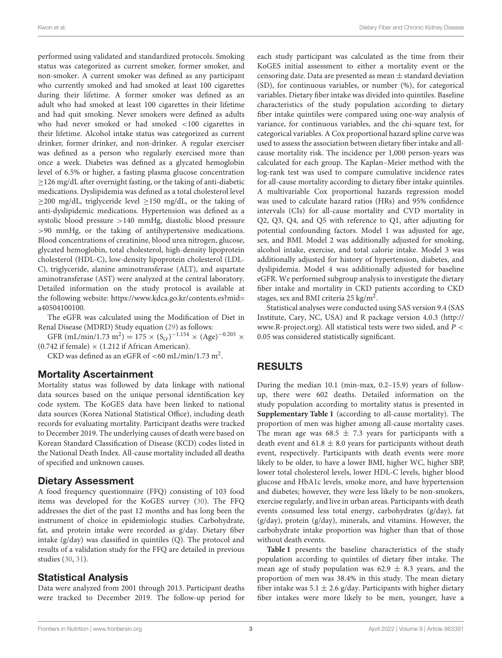performed using validated and standardized protocols. Smoking status was categorized as current smoker, former smoker, and non-smoker. A current smoker was defined as any participant who currently smoked and had smoked at least 100 cigarettes during their lifetime. A former smoker was defined as an adult who had smoked at least 100 cigarettes in their lifetime and had quit smoking. Never smokers were defined as adults who had never smoked or had smoked <100 cigarettes in their lifetime. Alcohol intake status was categorized as current drinker, former drinker, and non-drinker. A regular exerciser was defined as a person who regularly exercised more than once a week. Diabetes was defined as a glycated hemoglobin level of 6.5% or higher, a fasting plasma glucose concentration ≥126 mg/dL after overnight fasting, or the taking of anti-diabetic medications. Dyslipidemia was defined as a total cholesterol level  $\geq$ 200 mg/dL, triglyceride level  $\geq$ 150 mg/dL, or the taking of anti-dyslipidemic medications. Hypertension was defined as a systolic blood pressure >140 mmHg, diastolic blood pressure >90 mmHg, or the taking of antihypertensive medications. Blood concentrations of creatinine, blood urea nitrogen, glucose, glycated hemoglobin, total cholesterol, high-density lipoprotein cholesterol (HDL-C), low-density lipoprotein cholesterol (LDL-C), triglyceride, alanine aminotransferase (ALT), and aspartate aminotransferase (AST) were analyzed at the central laboratory. Detailed information on the study protocol is available at the following website: [https://www.kdca.go.kr/contents.es?mid=](https://www.kdca.go.kr/contents.es?mid=a40504100100) [a40504100100.](https://www.kdca.go.kr/contents.es?mid=a40504100100)

The eGFR was calculated using the Modification of Diet in Renal Disease (MDRD) Study equation [\(29\)](#page-8-27) as follows:

GFR (mL/min/1.73 m<sup>2</sup>) = 175 × (S<sub>cr</sub>)<sup>-1.154</sup> × (Age)<sup>-0.203</sup> ×  $(0.742$  if female)  $\times$  (1.212 if African American).

CKD was defined as an eGFR of  $<$  60 mL/min/1.73 m<sup>2</sup>.

#### Mortality Ascertainment

Mortality status was followed by data linkage with national data sources based on the unique personal identification key code system. The KoGES data have been linked to national data sources (Korea National Statistical Office), including death records for evaluating mortality. Participant deaths were tracked to December 2019. The underlying causes of death were based on Korean Standard Classification of Disease (KCD) codes listed in the National Death Index. All-cause mortality included all deaths of specified and unknown causes.

## Dietary Assessment

A food frequency questionnaire (FFQ) consisting of 103 food items was developed for the KoGES survey [\(30\)](#page-8-28). The FFQ addresses the diet of the past 12 months and has long been the instrument of choice in epidemiologic studies. Carbohydrate, fat, and protein intake were recorded as g/day. Dietary fiber intake (g/day) was classified in quintiles (Q). The protocol and results of a validation study for the FFQ are detailed in previous studies [\(30,](#page-8-28) [31\)](#page-8-29).

## Statistical Analysis

Data were analyzed from 2001 through 2013. Participant deaths were tracked to December 2019. The follow-up period for

each study participant was calculated as the time from their KoGES initial assessment to either a mortality event or the censoring date. Data are presented as mean  $\pm$  standard deviation (SD), for continuous variables, or number (%), for categorical variables. Dietary fiber intake was divided into quintiles. Baseline characteristics of the study population according to dietary fiber intake quintiles were compared using one-way analysis of variance, for continuous variables, and the chi-square test, for categorical variables. A Cox proportional hazard spline curve was used to assess the association between dietary fiber intake and allcause mortality risk. The incidence per 1,000 person-years was calculated for each group. The Kaplan–Meier method with the log-rank test was used to compare cumulative incidence rates for all-cause mortality according to dietary fiber intake quintiles. A multivariable Cox proportional hazards regression model was used to calculate hazard ratios (HRs) and 95% confidence intervals (CIs) for all-cause mortality and CVD mortality in Q2, Q3, Q4, and Q5 with reference to Q1, after adjusting for potential confounding factors. Model 1 was adjusted for age, sex, and BMI. Model 2 was additionally adjusted for smoking, alcohol intake, exercise, and total calorie intake. Model 3 was additionally adjusted for history of hypertension, diabetes, and dyslipidemia. Model 4 was additionally adjusted for baseline eGFR. We performed subgroup analysis to investigate the dietary fiber intake and mortality in CKD patients according to CKD stages, sex and BMI criteria 25 kg/m<sup>2</sup>.

Statistical analyses were conducted using SAS version 9.4 (SAS Institute, Cary, NC, USA) and R package version 4.0.3 [\(http://](http://www.R-project.org) [www.R-project.org\)](http://www.R-project.org). All statistical tests were two sided, and  $P <$ 0.05 was considered statistically significant.

## RESULTS

During the median 10.1 (min-max, 0.2–15.9) years of followup, there were 602 deaths. Detailed information on the study population according to mortality status is presented in **[Supplementary Table 1](#page-8-26)** (according to all-cause mortality). The proportion of men was higher among all-cause mortality cases. The mean age was 68.5  $\pm$  7.3 years for participants with a death event and  $61.8 \pm 8.0$  years for participants without death event, respectively. Participants with death events were more likely to be older, to have a lower BMI, higher WC, higher SBP, lower total cholesterol levels, lower HDL-C levels, higher blood glucose and HbA1c levels, smoke more, and have hypertension and diabetes; however, they were less likely to be non-smokers, exercise regularly, and live in urban areas. Participants with death events consumed less total energy, carbohydrates (g/day), fat (g/day), protein (g/day), minerals, and vitamins. However, the carbohydrate intake proportion was higher than that of those without death events.

**[Table 1](#page-3-0)** presents the baseline characteristics of the study population according to quintiles of dietary fiber intake. The mean age of study population was  $62.9 \pm 8.3$  years, and the proportion of men was 38.4% in this study. The mean dietary fiber intake was 5.1  $\pm$  2.6 g/day. Participants with higher dietary fiber intakes were more likely to be men, younger, have a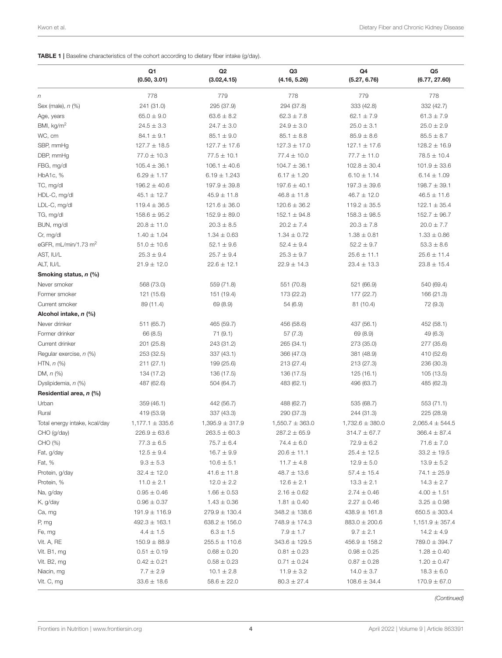<span id="page-3-0"></span>

|  | <b>TABLE 1</b>   Baseline characteristics of the cohort according to dietary fiber intake (g/day). |  |  |
|--|----------------------------------------------------------------------------------------------------|--|--|
|  |                                                                                                    |  |  |

|                               | Q1<br>(0.50, 3.01)  | Q <sub>2</sub><br>(3.02, 4.15) | Q <sub>3</sub><br>(4.16, 5.26) | Q4<br>(5.27, 6.76)  | Q <sub>5</sub><br>(6.77, 27.60) |
|-------------------------------|---------------------|--------------------------------|--------------------------------|---------------------|---------------------------------|
| $\boldsymbol{n}$              | 778                 | 779                            | 778                            | 779                 | 778                             |
| Sex (male), n (%)             | 241 (31.0)          | 295 (37.9)                     | 294 (37.8)                     | 333 (42.8)          | 332 (42.7)                      |
| Age, years                    | $65.0 \pm 9.0$      | $63.6 \pm 8.2$                 | $62.3 \pm 7.8$                 | $62.1 \pm 7.9$      | $61.3 \pm 7.9$                  |
| BMI, kg/m <sup>2</sup>        | $24.5 \pm 3.3$      | $24.7 \pm 3.0$                 | $24.9 \pm 3.0$                 | $25.0 \pm 3.1$      | $25.0 \pm 2.9$                  |
| WC, cm                        | $84.1 \pm 9.1$      | $85.1 \pm 9.0$                 | $85.1 \pm 8.8$                 | $85.9 \pm 8.6$      | $85.5 \pm 8.7$                  |
| SBP, mmHg                     | $127.7 \pm 18.5$    | $127.7 \pm 17.6$               | $127.3 \pm 17.0$               | $127.1 \pm 17.6$    | $128.2 \pm 16.9$                |
| DBP, mmHg                     | $77.0 \pm 10.3$     | $77.5 \pm 10.1$                | $77.4 \pm 10.0$                | $77.7 \pm 11.0$     | $78.5 \pm 10.4$                 |
| FBG, mg/dl                    | $105.4 \pm 36.1$    | $106.1 \pm 40.6$               | $104.7 \pm 36.1$               | $102.8 \pm 30.4$    | $101.9 \pm 33.6$                |
| HbA1c, %                      | $6.29 \pm 1.17$     | $6.19 \pm 1.243$               | $6.17 \pm 1.20$                | $6.10 \pm 1.14$     | $6.14 \pm 1.09$                 |
| TC, mg/dl                     | $196.2 \pm 40.6$    | $197.9 \pm 39.8$               | $197.6 \pm 40.1$               | $197.3 \pm 39.6$    | $198.7 \pm 39.1$                |
| HDL-C, mg/dl                  | $45.1 \pm 12.7$     | $45.9 \pm 11.8$                | $46.8 \pm 11.8$                | $46.7 \pm 12.0$     | $46.5 \pm 11.6$                 |
| LDL-C, mg/dl                  | $119.4 \pm 36.5$    | $121.6 \pm 36.0$               | $120.6 \pm 36.2$               | $119.2 \pm 35.5$    | $122.1 \pm 35.4$                |
| TG, mg/dl                     | $158.6 \pm 95.2$    | $152.9 \pm 89.0$               | $152.1 \pm 94.8$               | $158.3 \pm 98.5$    | $152.7 \pm 96.7$                |
| BUN, mg/dl                    | $20.8 \pm 11.0$     | $20.3 \pm 8.5$                 | $20.2 \pm 7.4$                 | $20.3 \pm 7.8$      | $20.0 \pm 7.7$                  |
| Cr, mg/dl                     | $1.40 \pm 1.04$     | $1.34 \pm 0.63$                | $1.34 \pm 0.72$                | $1.38 \pm 0.81$     | $1.33 \pm 0.86$                 |
| eGFR, $mL/min/1.73 m2$        | $51.0 \pm 10.6$     | $52.1 \pm 9.6$                 | $52.4 \pm 9.4$                 | $52.2 \pm 9.7$      | $53.3 \pm 8.6$                  |
| AST, IU/L                     | $25.3 \pm 9.4$      | $25.7 \pm 9.4$                 | $25.3 \pm 9.7$                 | $25.6 \pm 11.1$     | $25.6 \pm 11.4$                 |
| ALT, IU/L                     | $21.9 \pm 12.0$     | $22.6 \pm 12.1$                | $22.9 \pm 14.3$                | $23.4 \pm 13.3$     | $23.8 \pm 15.4$                 |
| Smoking status, n (%)         |                     |                                |                                |                     |                                 |
| Never smoker                  | 568 (73.0)          | 559 (71.8)                     | 551 (70.8)                     | 521 (66.9)          | 540 (69.4)                      |
| Former smoker                 | 121 (15.6)          | 151 (19.4)                     | 173 (22.2)                     | 177 (22.7)          | 166 (21.3)                      |
| Current smoker                | 89 (11.4)           | 69 (8.9)                       | 54 (6.9)                       | 81 (10.4)           | 72 (9.3)                        |
| Alcohol intake, n (%)         |                     |                                |                                |                     |                                 |
| Never drinker                 | 511 (65.7)          | 465 (59.7)                     | 456 (58.6)                     | 437 (56.1)          | 452 (58.1)                      |
| Former drinker                | 66 (8.5)            | 71(9.1)                        | 57(7.3)                        | 69 (8.9)            | 49 (6.3)                        |
| Current drinker               | 201 (25.8)          | 243 (31.2)                     | 265 (34.1)                     | 273 (35.0)          | 277 (35.6)                      |
| Regular exercise, n (%)       | 253 (32.5)          | 337 (43.1)                     | 366 (47.0)                     | 381 (48.9)          | 410 (52.6)                      |
| HTN, $n$ $(\%)$               | 211(27.1)           | 199 (25.6)                     | 213 (27.4)                     | 213 (27.3)          | 236 (30.3)                      |
| DM, $n$ $%$                   | 134 (17.2)          | 136 (17.5)                     | 136 (17.5)                     | 125 (16.1)          | 105 (13.5)                      |
| Dyslipidemia, n (%)           | 487 (62.6)          | 504 (64.7)                     | 483 (62.1)                     | 496 (63.7)          | 485 (62.3)                      |
| Residential area, n (%)       |                     |                                |                                |                     |                                 |
| Urban                         | 359 (46.1)          | 442 (56.7)                     | 488 (62.7)                     | 535 (68.7)          | 553 (71.1)                      |
| Rural                         | 419 (53.9)          | 337 (43.3)                     | 290 (37.3)                     | 244 (31.3)          | 225 (28.9)                      |
| Total energy intake, kcal/day | $1,177.1 \pm 335.6$ | $1,395.9 \pm 317.9$            | $1,550.7 \pm 363.0$            | $1,732.6 \pm 380.0$ | $2,065.4 \pm 544.5$             |
| CHO (g/day)                   | $226.9 \pm 63.6$    | $263.5 \pm 60.3$               | $287.2 \pm 65.9$               | $314.7 \pm 67.7$    | $366.4 \pm 87.4$                |
| CHO (%)                       | $77.3 \pm 6.5$      | $75.7 \pm 6.4$                 | $74.4 \pm 6.0$                 | $72.9 \pm 6.2$      | $71.6 \pm 7.0$                  |
| Fat, g/day                    | $12.5 \pm 9.4$      | $16.7 \pm 9.9$                 | $20.6 \pm 11.1$                | $25.4 \pm 12.5$     | $33.2 \pm 19.5$                 |
| Fat, %                        | $9.3\pm5.3$         | $10.6 \pm 5.1$                 | $11.7 \pm 4.8$                 | $12.9 \pm 5.0$      | $13.9 \pm 5.2$                  |
| Protein, g/day                | $32.4 \pm 12.0$     | $41.6 \pm 11.8$                | $48.7 \pm 13.6$                | $57.4 \pm 15.4$     | $74.1 \pm 25.9$                 |
| Protein, %                    | $11.0 \pm 2.1$      | $12.0 \pm 2.2$                 | $12.6 \pm 2.1$                 | $13.3 \pm 2.1$      | $14.3 \pm 2.7$                  |
| Na, g/day                     | $0.95 \pm 0.46$     | $1.66 \pm 0.53$                | $2.16 \pm 0.62$                | $2.74 \pm 0.46$     | $4.00 \pm 1.51$                 |
| K, g/day                      | $0.96 \pm 0.37$     | $1.43 \pm 0.36$                | $1.81 \pm 0.40$                | $2.27 \pm 0.46$     | $3.25 \pm 0.98$                 |
| Ca, mg                        | $191.9 \pm 116.9$   | $279.9 \pm 130.4$              | $348.2 \pm 138.6$              | $438.9 \pm 161.8$   | $650.5 \pm 303.4$               |
| P, mg                         | $492.3 \pm 163.1$   | $638.2 \pm 156.0$              | $748.9 \pm 174.3$              | $883.0 \pm 200.6$   | $1,151.9 \pm 357.4$             |
| Fe, mg                        | $4.4 \pm 1.5$       | $6.3 \pm 1.5$                  | $7.9 \pm 1.7$                  | $9.7 \pm 2.1$       | $14.2 \pm 4.9$                  |
| Vit. A, RE                    | $150.9 \pm 88.9$    | $255.5 \pm 110.6$              | $343.6 \pm 129.5$              | $456.9 \pm 158.2$   | $789.0 \pm 394.7$               |
| Vit. B1, mg                   | $0.51 \pm 0.19$     | $0.68 \pm 0.20$                | $0.81 \pm 0.23$                | $0.98 \pm 0.25$     | $1.28 \pm 0.40$                 |
| Vit. B2, mg                   | $0.42 \pm 0.21$     | $0.58 \pm 0.23$                | $0.71 \pm 0.24$                | $0.87 \pm 0.28$     | $1.20 \pm 0.47$                 |
| Niacin, mg                    | $7.7 \pm 2.9$       | $10.1 \pm 2.8$                 | $11.9 \pm 3.2$                 | $14.0 \pm 3.7$      | $18.3 \pm 6.0$                  |
| Vit. C, mg                    | $33.6 \pm 18.6$     | $58.6 \pm 22.0$                | $80.3 \pm 27.4$                | $108.6 \pm 34.4$    | $170.9 \pm 67.0$                |

*(Continued)*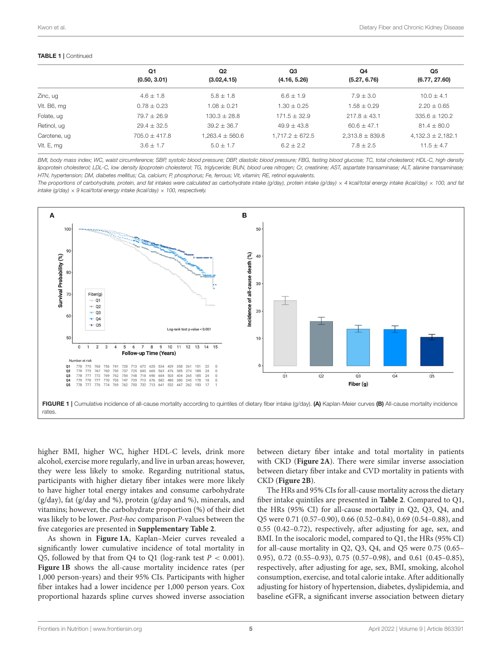#### TABLE 1 | Continued

| Q <sub>3</sub><br>Q <sub>2</sub><br>Q <sub>5</sub><br>Q1<br>Q <sub>4</sub><br>(0.50, 3.01)<br>(3.02, 4.15)<br>(4.16, 5.26)<br>(6.77, 27.60)<br>(5.27, 6.76)<br>$6.6 \pm 1.9$<br>$4.6 \pm 1.8$<br>$5.8 \pm 1.8$<br>$7.9 \pm 3.0$<br>Zinc, ug<br>$10.0 + 4.1$<br>Vit. B6, mg<br>$0.78 \pm 0.23$<br>$1.30 \pm 0.25$<br>$2.20 \pm 0.65$<br>$1.08 \pm 0.21$<br>$1.58 \pm 0.29$<br>$79.7 \pm 26.9$<br>Folate, ug<br>$130.3 \pm 28.8$<br>$171.5 \pm 32.9$<br>$335.6 \pm 120.2$<br>$217.8 + 43.1$<br>Retinol, ug<br>$29.4 \pm 32.5$<br>$81.4 \pm 80.0$<br>$39.2 \pm 36.7$<br>$49.9 \pm 43.8$<br>$60.6 + 47.1$<br>$705.0 \pm 417.8$<br>$1,263.4 \pm 560.6$<br>$1.717.2 \pm 672.5$<br>$2.313.8 \pm 839.8$<br>Carotene, ug<br>$7.8 + 2.5$<br>Vit. E, mg<br>$6.2 + 2.2$<br>$3.6 \pm 1.7$<br>$5.0 \pm 1.7$<br>$11.5 \pm 4.7$ |  |  |                       |
|-----------------------------------------------------------------------------------------------------------------------------------------------------------------------------------------------------------------------------------------------------------------------------------------------------------------------------------------------------------------------------------------------------------------------------------------------------------------------------------------------------------------------------------------------------------------------------------------------------------------------------------------------------------------------------------------------------------------------------------------------------------------------------------------------------------------|--|--|-----------------------|
|                                                                                                                                                                                                                                                                                                                                                                                                                                                                                                                                                                                                                                                                                                                                                                                                                 |  |  |                       |
|                                                                                                                                                                                                                                                                                                                                                                                                                                                                                                                                                                                                                                                                                                                                                                                                                 |  |  |                       |
|                                                                                                                                                                                                                                                                                                                                                                                                                                                                                                                                                                                                                                                                                                                                                                                                                 |  |  |                       |
|                                                                                                                                                                                                                                                                                                                                                                                                                                                                                                                                                                                                                                                                                                                                                                                                                 |  |  |                       |
|                                                                                                                                                                                                                                                                                                                                                                                                                                                                                                                                                                                                                                                                                                                                                                                                                 |  |  |                       |
|                                                                                                                                                                                                                                                                                                                                                                                                                                                                                                                                                                                                                                                                                                                                                                                                                 |  |  |                       |
|                                                                                                                                                                                                                                                                                                                                                                                                                                                                                                                                                                                                                                                                                                                                                                                                                 |  |  | $4,132.3 \pm 2,182.1$ |
|                                                                                                                                                                                                                                                                                                                                                                                                                                                                                                                                                                                                                                                                                                                                                                                                                 |  |  |                       |

*BMI, body mass index; WC, waist circumference; SBP, systolic blood pressure; DBP, diastolic blood pressure; FBG, fasting blood glucose; TC, total cholesterol; HDL-C, high density lipoprotein cholesterol; LDL-C, low density lipoprotein cholesterol; TG, triglyceride; BUN, blood urea nitrogen; Cr, creatinine; AST, aspartate transaminase; ALT, alanine transaminase; HTN, hypertension; DM, diabetes mellitus; Ca, calcium; P, phosphorus; Fe, ferrous; Vit, vitamin; RE, retinol equivalents.*

*The proportions of carbohydrate, protein, and fat intakes were calculated as carbohydrate intake (g/day), protein intake (g/day)* × *4 kcal/total energy intake (kcal/day)* × *100, and fat intake (g/day)* × *9 kcal/total energy intake (kcal/day)* × *100, respectively.*



<span id="page-4-0"></span>higher BMI, higher WC, higher HDL-C levels, drink more alcohol, exercise more regularly, and live in urban areas; however, they were less likely to smoke. Regarding nutritional status, participants with higher dietary fiber intakes were more likely to have higher total energy intakes and consume carbohydrate (g/day), fat (g/day and %), protein (g/day and %), minerals, and vitamins; however, the carbohydrate proportion (%) of their diet was likely to be lower. Post-hoc comparison P-values between the five categories are presented in **[Supplementary Table 2](#page-8-26)**.

As shown in **[Figure 1A](#page-4-0)**, Kaplan–Meier curves revealed a significantly lower cumulative incidence of total mortality in Q5, followed by that from Q4 to Q1 (log-rank test  $P < 0.001$ ). **[Figure 1B](#page-4-0)** shows the all-cause mortality incidence rates (per 1,000 person-years) and their 95% CIs. Participants with higher fiber intakes had a lower incidence per 1,000 person years. Cox proportional hazards spline curves showed inverse association between dietary fiber intake and total mortality in patients with CKD (**[Figure 2A](#page-5-0)**). There were similar inverse association between dietary fiber intake and CVD mortality in patients with CKD (**[Figure 2B](#page-5-0)**).

The HRs and 95% CIs for all-cause mortality across the dietary fiber intake quintiles are presented in **[Table 2](#page-5-1)**. Compared to Q1, the HRs (95% CI) for all-cause mortality in Q2, Q3, Q4, and Q5 were 0.71 (0.57–0.90), 0.66 (0.52–0.84), 0.69 (0.54–0.88), and 0.55 (0.42–0.72), respectively, after adjusting for age, sex, and BMI. In the isocaloric model, compared to Q1, the HRs (95% CI) for all-cause mortality in Q2, Q3, Q4, and Q5 were 0.75 (0.65– 0.95), 0.72 (0.55–0.93), 0.75 (0.57–0.98), and 0.61 (0.45–0.85), respectively, after adjusting for age, sex, BMI, smoking, alcohol consumption, exercise, and total calorie intake. After additionally adjusting for history of hypertension, diabetes, dyslipidemia, and baseline eGFR, a significant inverse association between dietary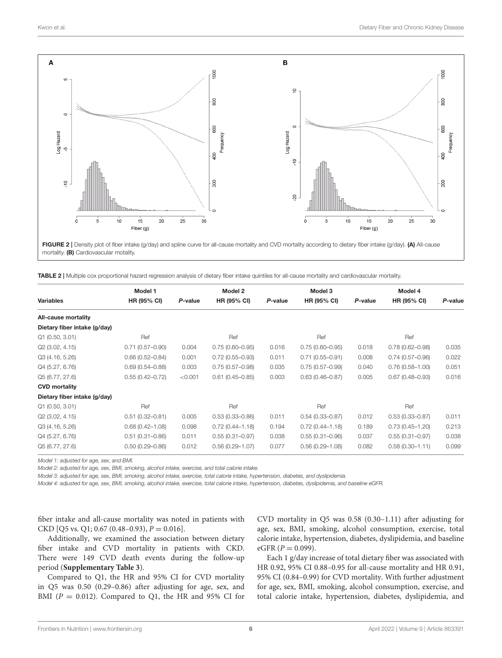

<span id="page-5-0"></span>FIGURE 2 | Density plot of fiber intake (g/day) and spline curve for all-cause mortality and CVD mortality according to dietary fiber intake (g/day). (A) All-cause mortality. (B) Cardiovascular motality.

<span id="page-5-1"></span>

|  |  |  |  | TABLE 2   Multiple cox proportional hazard regression analysis of dietary fiber intake quintiles for all-cause mortality and cardiovascular mortality. |  |
|--|--|--|--|--------------------------------------------------------------------------------------------------------------------------------------------------------|--|
|--|--|--|--|--------------------------------------------------------------------------------------------------------------------------------------------------------|--|

|                              | Model 1             |         | Model 2             |         | Model 3             |         | Model 4             |         |
|------------------------------|---------------------|---------|---------------------|---------|---------------------|---------|---------------------|---------|
| <b>Variables</b>             | HR (95% CI)         | P-value | HR (95% CI)         | P-value | <b>HR (95% CI)</b>  | P-value | HR (95% CI)         | P-value |
| All-cause mortality          |                     |         |                     |         |                     |         |                     |         |
| Dietary fiber intake (g/day) |                     |         |                     |         |                     |         |                     |         |
| Q1(0.50, 3.01)               | Ref                 |         | Ref                 |         | Ref                 |         | Ref                 |         |
| Q2 (3.02, 4.15)              | $0.71(0.57 - 0.90)$ | 0.004   | $0.75(0.60 - 0.95)$ | 0.016   | $0.75(0.60 - 0.95)$ | 0.018   | $0.78(0.62 - 0.98)$ | 0.035   |
| Q3 (4.16, 5.26)              | $0.66(0.52 - 0.84)$ | 0.001   | $0.72(0.55 - 0.93)$ | 0.011   | $0.71(0.55 - 0.91)$ | 0.008   | $0.74(0.57 - 0.96)$ | 0.022   |
| Q4 (5.27, 6.76)              | $0.69(0.54 - 0.88)$ | 0.003   | $0.75(0.57 - 0.98)$ | 0.035   | $0.75(0.57 - 0.99)$ | 0.040   | $0.76(0.58 - 1.00)$ | 0.051   |
| Q5 (6.77, 27.6)              | $0.55(0.42 - 0.72)$ | < 0.001 | $0.61(0.45 - 0.85)$ | 0.003   | $0.63(0.46 - 0.87)$ | 0.005   | $0.67(0.48 - 0.93)$ | 0.016   |
| <b>CVD mortality</b>         |                     |         |                     |         |                     |         |                     |         |
| Dietary fiber intake (g/day) |                     |         |                     |         |                     |         |                     |         |
| Q1(0.50, 3.01)               | Ref                 |         | Ref                 |         | Ref                 |         | Ref                 |         |
| Q2 (3.02, 4.15)              | $0.51(0.32 - 0.81)$ | 0.005   | $0.53(0.33 - 0.86)$ | 0.011   | $0.54(0.33 - 0.87)$ | 0.012   | $0.53(0.33 - 0.87)$ | 0.011   |
| Q3 (4.16, 5.26)              | $0.68(0.42 - 1.08)$ | 0.098   | $0.72(0.44 - 1.18)$ | 0.194   | $0.72(0.44 - 1.18)$ | 0.189   | $0.73(0.45 - 1.20)$ | 0.213   |
| Q4 (5.27, 6.76)              | $0.51(0.31 - 0.86)$ | 0.011   | $0.55(0.31 - 0.97)$ | 0.038   | $0.55(0.31 - 0.96)$ | 0.037   | $0.55(0.31 - 0.97)$ | 0.038   |
| Q5 (6.77, 27.6)              | $0.50(0.29 - 0.86)$ | 0.012   | $0.56(0.29 - 1.07)$ | 0.077   | $0.56(0.29 - 1.08)$ | 0.082   | $0.58(0.30 - 1.11)$ | 0.099   |

*Model 1: adjusted for age, sex, and BMI.*

*Model 2: adjusted for age, sex, BMI, smoking, alcohol intake, exercise, and total calorie intake.*

*Model 3: adjusted for age, sex, BMI, smoking, alcohol intake, exercise, total calorie intake, hypertension, diabetes, and dyslipidemia.*

*Model 4: adjusted for age, sex, BMI, smoking, alcohol intake, exercise, total calorie intake, hypertension, diabetes, dyslipidemia, and baseline eGFR.*

fiber intake and all-cause mortality was noted in patients with CKD [Q5 vs. Q1; 0.67 (0.48–0.93),  $P = 0.016$ ].

Additionally, we examined the association between dietary fiber intake and CVD mortality in patients with CKD. There were 149 CVD death events during the follow-up period (**[Supplementary Table 3](#page-8-26)**).

Compared to Q1, the HR and 95% CI for CVD mortality in Q5 was 0.50 (0.29–0.86) after adjusting for age, sex, and BMI ( $P = 0.012$ ). Compared to Q1, the HR and 95% CI for CVD mortality in Q5 was 0.58 (0.30–1.11) after adjusting for age, sex, BMI, smoking, alcohol consumption, exercise, total calorie intake, hypertension, diabetes, dyslipidemia, and baseline  $eGFR (P = 0.099)$ .

Each 1 g/day increase of total dietary fiber was associated with HR 0.92, 95% CI 0.88–0.95 for all-cause mortality and HR 0.91, 95% CI (0.84–0.99) for CVD mortality. With further adjustment for age, sex, BMI, smoking, alcohol consumption, exercise, and total calorie intake, hypertension, diabetes, dyslipidemia, and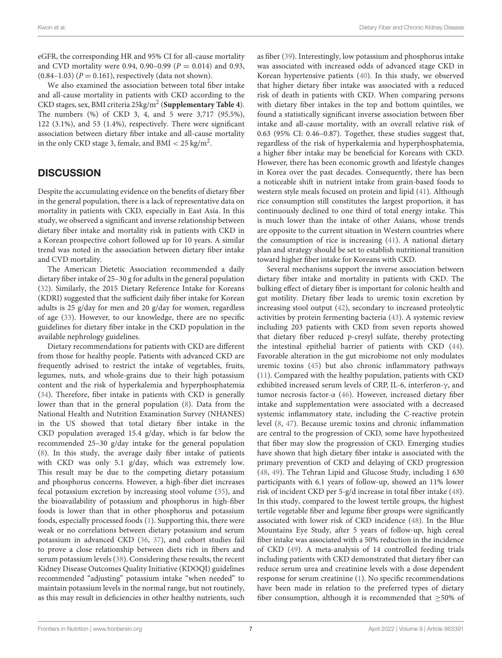eGFR, the corresponding HR and 95% CI for all-cause mortality and CVD mortality were 0.94, 0.90–0.99 ( $P = 0.014$ ) and 0.93,  $(0.84-1.03)$   $(P = 0.161)$ , respectively (data not shown).

We also examined the association between total fiber intake and all-cause mortality in patients with CKD according to the CKD stages, sex, BMI criteria 25kg/m<sup>2</sup> (**[Supplementary Table 4](#page-8-26)**). The numbers (%) of CKD 3, 4, and 5 were 3,717 (95.5%), 122 (3.1%), and 53 (1.4%), respectively. There were significant association between dietary fiber intake and all-cause mortality in the only CKD stage 3, female, and BMI  $< 25 \text{ kg/m}^2$ .

# **DISCUSSION**

Despite the accumulating evidence on the benefits of dietary fiber in the general population, there is a lack of representative data on mortality in patients with CKD, especially in East Asia. In this study, we observed a significant and inverse relationship between dietary fiber intake and mortality risk in patients with CKD in a Korean prospective cohort followed up for 10 years. A similar trend was noted in the association between dietary fiber intake and CVD mortality.

The American Dietetic Association recommended a daily dietary fiber intake of 25–30 g for adults in the general population [\(32\)](#page-8-30). Similarly, the 2015 Dietary Reference Intake for Koreans (KDRI) suggested that the sufficient daily fiber intake for Korean adults is 25 g/day for men and 20 g/day for women, regardless of age [\(33\)](#page-9-0). However, to our knowledge, there are no specific guidelines for dietary fiber intake in the CKD population in the available nephrology guidelines.

Dietary recommendations for patients with CKD are different from those for healthy people. Patients with advanced CKD are frequently advised to restrict the intake of vegetables, fruits, legumes, nuts, and whole-grains due to their high potassium content and the risk of hyperkalemia and hyperphosphatemia [\(34\)](#page-9-1). Therefore, fiber intake in patients with CKD is generally lower than that in the general population [\(8\)](#page-8-7). Data from the National Health and Nutrition Examination Survey (NHANES) in the US showed that total dietary fiber intake in the CKD population averaged 15.4 g/day, which is far below the recommended 25–30 g/day intake for the general population [\(8\)](#page-8-7). In this study, the average daily fiber intake of patients with CKD was only 5.1 g/day, which was extremely low. This result may be due to the competing dietary potassium and phosphorus concerns. However, a high-fiber diet increases fecal potassium excretion by increasing stool volume [\(35\)](#page-9-2), and the bioavailability of potassium and phosphorus in high-fiber foods is lower than that in other phosphorus and potassium foods, especially processed foods [\(1\)](#page-8-0). Supporting this, there were weak or no correlations between dietary potassium and serum potassium in advanced CKD [\(36,](#page-9-3) [37\)](#page-9-4), and cohort studies fail to prove a close relationship between diets rich in fibers and serum potassium levels [\(38\)](#page-9-5). Considering these results, the recent Kidney Disease Outcomes Quality Initiative (KDOQI) guidelines recommended "adjusting" potassium intake "when needed" to maintain potassium levels in the normal range, but not routinely, as this may result in deficiencies in other healthy nutrients, such

as fiber [\(39\)](#page-9-6). Interestingly, low potassium and phosphorus intake was associated with increased odds of advanced stage CKD in Korean hypertensive patients [\(40\)](#page-9-7). In this study, we observed that higher dietary fiber intake was associated with a reduced risk of death in patients with CKD. When comparing persons with dietary fiber intakes in the top and bottom quintiles, we found a statistically significant inverse association between fiber intake and all-cause mortality, with an overall relative risk of 0.63 (95% CI: 0.46–0.87). Together, these studies suggest that, regardless of the risk of hyperkalemia and hyperphosphatemia, a higher fiber intake may be beneficial for Koreans with CKD. However, there has been economic growth and lifestyle changes in Korea over the past decades. Consequently, there has been a noticeable shift in nutrient intake from grain-based foods to western style meals focused on protein and lipid [\(41\)](#page-9-8). Although rice consumption still constitutes the largest proportion, it has continuously declined to one third of total energy intake. This is much lower than the intake of other Asians, whose trends are opposite to the current situation in Western countries where the consumption of rice is increasing [\(41\)](#page-9-8). A national dietary plan and strategy should be set to establish nutritional transition toward higher fiber intake for Koreans with CKD.

Several mechanisms support the inverse association between dietary fiber intake and mortality in patients with CKD. The bulking effect of dietary fiber is important for colonic health and gut motility. Dietary fiber leads to uremic toxin excretion by increasing stool output [\(42\)](#page-9-9), secondary to increased proteolytic activities by protein fermenting bacteria [\(43\)](#page-9-10). A systemic review including 203 patients with CKD from seven reports showed that dietary fiber reduced p-cresyl sulfate, thereby protecting the intestinal epithelial barrier of patients with CKD [\(44\)](#page-9-11). Favorable alteration in the gut microbiome not only modulates uremic toxins [\(45\)](#page-9-12) but also chronic inflammatory pathways [\(11\)](#page-8-10). Compared with the healthy population, patients with CKD exhibited increased serum levels of CRP, IL-6, interferon-γ, and tumor necrosis factor-α [\(46\)](#page-9-13). However, increased dietary fiber intake and supplementation were associated with a decreased systemic inflammatory state, including the C-reactive protein level [\(8,](#page-8-7) [47\)](#page-9-14). Because uremic toxins and chronic inflammation are central to the progression of CKD, some have hypothesized that fiber may slow the progression of CKD. Emerging studies have shown that high dietary fiber intake is associated with the primary prevention of CKD and delaying of CKD progression [\(48,](#page-9-15) [49\)](#page-9-16). The Tehran Lipid and Glucose Study, including 1 630 participants with 6.1 years of follow-up, showed an 11% lower risk of incident CKD per 5-g/d increase in total fiber intake [\(48\)](#page-9-15). In this study, compared to the lowest tertile groups, the highest tertile vegetable fiber and legume fiber groups were significantly associated with lower risk of CKD incidence [\(48\)](#page-9-15). In the Blue Mountains Eye Study, after 5 years of follow-up, high cereal fiber intake was associated with a 50% reduction in the incidence of CKD [\(49\)](#page-9-16). A meta-analysis of 14 controlled feeding trials including patients with CKD demonstrated that dietary fiber can reduce serum urea and creatinine levels with a dose dependent response for serum creatinine [\(1\)](#page-8-0). No specific recommendations have been made in relation to the preferred types of dietary fiber consumption, although it is recommended that  $\geq$ 50% of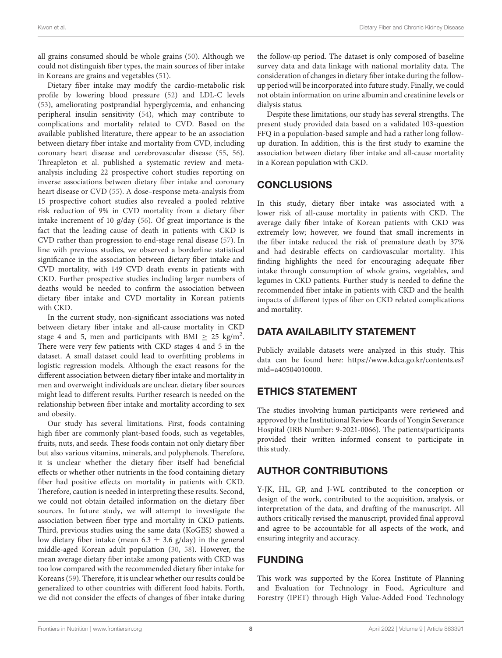all grains consumed should be whole grains [\(50\)](#page-9-17). Although we could not distinguish fiber types, the main sources of fiber intake in Koreans are grains and vegetables [\(51\)](#page-9-18).

Dietary fiber intake may modify the cardio-metabolic risk profile by lowering blood pressure [\(52\)](#page-9-19) and LDL-C levels [\(53\)](#page-9-20), ameliorating postprandial hyperglycemia, and enhancing peripheral insulin sensitivity [\(54\)](#page-9-21), which may contribute to complications and mortality related to CVD. Based on the available published literature, there appear to be an association between dietary fiber intake and mortality from CVD, including coronary heart disease and cerebrovascular disease [\(55,](#page-9-22) [56\)](#page-9-23). Threapleton et al. published a systematic review and metaanalysis including 22 prospective cohort studies reporting on inverse associations between dietary fiber intake and coronary heart disease or CVD [\(55\)](#page-9-22). A dose–response meta-analysis from 15 prospective cohort studies also revealed a pooled relative risk reduction of 9% in CVD mortality from a dietary fiber intake increment of 10 g/day [\(56\)](#page-9-23). Of great importance is the fact that the leading cause of death in patients with CKD is CVD rather than progression to end-stage renal disease [\(57\)](#page-9-24). In line with previous studies, we observed a borderline statistical significance in the association between dietary fiber intake and CVD mortality, with 149 CVD death events in patients with CKD. Further prospective studies including larger numbers of deaths would be needed to confirm the association between dietary fiber intake and CVD mortality in Korean patients with CKD.

In the current study, non-significant associations was noted between dietary fiber intake and all-cause mortality in CKD stage 4 and 5, men and participants with BMI  $\geq 25$  kg/m<sup>2</sup>. There were very few patients with CKD stages 4 and 5 in the dataset. A small dataset could lead to overfitting problems in logistic regression models. Although the exact reasons for the different association between dietary fiber intake and mortality in men and overweight individuals are unclear, dietary fiber sources might lead to different results. Further research is needed on the relationship between fiber intake and mortality according to sex and obesity.

Our study has several limitations. First, foods containing high fiber are commonly plant-based foods, such as vegetables, fruits, nuts, and seeds. These foods contain not only dietary fiber but also various vitamins, minerals, and polyphenols. Therefore, it is unclear whether the dietary fiber itself had beneficial effects or whether other nutrients in the food containing dietary fiber had positive effects on mortality in patients with CKD. Therefore, caution is needed in interpreting these results. Second, we could not obtain detailed information on the dietary fiber sources. In future study, we will attempt to investigate the association between fiber type and mortality in CKD patients. Third, previous studies using the same data (KoGES) showed a low dietary fiber intake (mean  $6.3 \pm 3.6$  g/day) in the general middle-aged Korean adult population [\(30,](#page-8-28) [58\)](#page-9-25). However, the mean average dietary fiber intake among patients with CKD was too low compared with the recommended dietary fiber intake for Koreans [\(59\)](#page-9-26). Therefore, it is unclear whether our results could be generalized to other countries with different food habits. Forth, we did not consider the effects of changes of fiber intake during the follow-up period. The dataset is only composed of baseline survey data and data linkage with national mortality data. The consideration of changes in dietary fiber intake during the followup period will be incorporated into future study. Finally, we could not obtain information on urine albumin and creatinine levels or dialysis status.

Despite these limitations, our study has several strengths. The present study provided data based on a validated 103-question FFQ in a population-based sample and had a rather long followup duration. In addition, this is the first study to examine the association between dietary fiber intake and all-cause mortality in a Korean population with CKD.

# CONCLUSIONS

In this study, dietary fiber intake was associated with a lower risk of all-cause mortality in patients with CKD. The average daily fiber intake of Korean patients with CKD was extremely low; however, we found that small increments in the fiber intake reduced the risk of premature death by 37% and had desirable effects on cardiovascular mortality. This finding highlights the need for encouraging adequate fiber intake through consumption of whole grains, vegetables, and legumes in CKD patients. Further study is needed to define the recommended fiber intake in patients with CKD and the health impacts of different types of fiber on CKD related complications and mortality.

# DATA AVAILABILITY STATEMENT

Publicly available datasets were analyzed in this study. This data can be found here: [https://www.kdca.go.kr/contents.es?](https://www.kdca.go.kr/contents.es?mid=a40504010000) [mid=a40504010000.](https://www.kdca.go.kr/contents.es?mid=a40504010000)

# ETHICS STATEMENT

The studies involving human participants were reviewed and approved by the Institutional Review Boards of Yongin Severance Hospital (IRB Number: 9-2021-0066). The patients/participants provided their written informed consent to participate in this study.

# AUTHOR CONTRIBUTIONS

Y-JK, HL, GP, and J-WL contributed to the conception or design of the work, contributed to the acquisition, analysis, or interpretation of the data, and drafting of the manuscript. All authors critically revised the manuscript, provided final approval and agree to be accountable for all aspects of the work, and ensuring integrity and accuracy.

# FUNDING

This work was supported by the Korea Institute of Planning and Evaluation for Technology in Food, Agriculture and Forestry (IPET) through High Value-Added Food Technology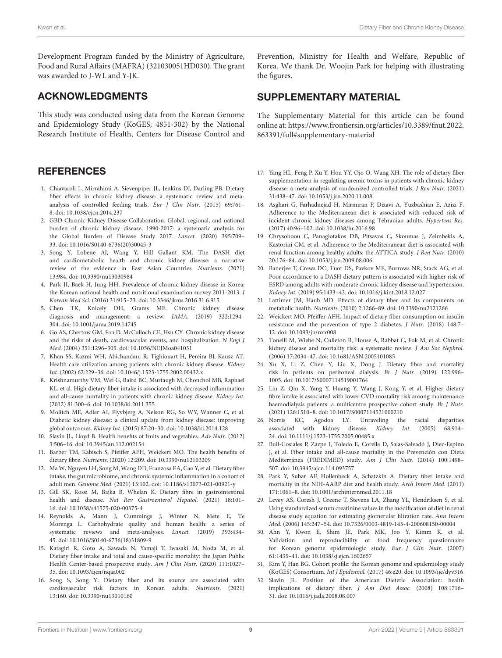Development Program funded by the Ministry of Agriculture, Food and Rural Affairs (MAFRA) (321030051HD030). The grant was awarded to J-WL and Y-JK.

## ACKNOWLEDGMENTS

This study was conducted using data from the Korean Genome and Epidemiology Study (KoGES; 4851-302) by the National Research Institute of Health, Centers for Disease Control and

#### **REFERENCES**

- <span id="page-8-0"></span>1. Chiavaroli L, Mirrahimi A, Sievenpiper JL, Jenkins DJ, Darling PB. Dietary fiber effects in chronic kidney disease: a systematic review and metaanalysis of controlled feeding trials. Eur J Clin Nutr. (2015) 69:761– 8. doi: [10.1038/ejcn.2014.237](https://doi.org/10.1038/ejcn.2014.237)
- <span id="page-8-1"></span>2. GBD Chronic Kidney Disease Collaboration. Global, regional, and national burden of chronic kidney disease, 1990-2017: a systematic analysis for the Global Burden of Disease Study 2017. Lancet. (2020) 395:709– 33. doi: [10.1016/S0140-6736\(20\)30045-3](https://doi.org/10.1016/S0140-6736(20)30045-3)
- <span id="page-8-2"></span>3. Song Y, Lobene AJ, Wang Y, Hill Gallant KM. The DASH diet and cardiometabolic health and chronic kidney disease: a narrative review of the evidence in East Asian Countries. Nutrients. (2021) 13:984. doi: [10.3390/nu13030984](https://doi.org/10.3390/nu13030984)
- <span id="page-8-3"></span>4. Park JI, Baek H, Jung HH. Prevalence of chronic kidney disease in Korea: the Korean national health and nutritional examination survey 2011-2013. J Korean Med Sci. (2016) 31:915–23. doi: [10.3346/jkms.2016.31.6.915](https://doi.org/10.3346/jkms.2016.31.6.915)
- <span id="page-8-4"></span>5. Chen TK, Knicely DH, Grams ME. Chronic kidney disease diagnosis and management: a review. JAMA. (2019) 322:1294– 304. doi: [10.1001/jama.2019.14745](https://doi.org/10.1001/jama.2019.14745)
- <span id="page-8-5"></span>6. Go AS, Chertow GM, Fan D, McCulloch CE, Hsu CY. Chronic kidney disease and the risks of death, cardiovascular events, and hospitalization. N Engl J Med. (2004) 351:1296–305. doi: [10.1056/NEJMoa041031](https://doi.org/10.1056/NEJMoa041031)
- <span id="page-8-6"></span>7. Khan SS, Kazmi WH, Abichandani R, Tighiouart H, Pereira BJ, Kausz AT. Health care utilization among patients with chronic kidney disease. Kidney Int. (2002) 62:229–36. doi: [10.1046/j.1523-1755.2002.00432.x](https://doi.org/10.1046/j.1523-1755.2002.00432.x)
- <span id="page-8-7"></span>8. Krishnamurthy VM, Wei G, Baird BC, Murtaugh M, Chonchol MB, Raphael KL, et al. High dietary fiber intake is associated with decreased inflammation and all-cause mortality in patients with chronic kidney disease. Kidney Int. (2012) 81:300–6. doi: [10.1038/ki.2011.355](https://doi.org/10.1038/ki.2011.355)
- <span id="page-8-8"></span>9. Molitch ME, Adler AI, Flyvbjerg A, Nelson RG, So WY, Wanner C, et al. Diabetic kidney disease: a clinical update from kidney disease: improving global outcomes. Kidney Int. (2015) 87:20–30. doi: [10.1038/ki.2014.128](https://doi.org/10.1038/ki.2014.128)
- <span id="page-8-9"></span>10. Slavin JL, Lloyd B. Health benefits of fruits and vegetables. Adv Nutr. (2012) 3:506–16. doi: [10.3945/an.112.002154](https://doi.org/10.3945/an.112.002154)
- <span id="page-8-10"></span>11. Barber TM, Kabisch S, Pfeiffer AFH, Weickert MO. The health benefits of dietary fibre. Nutrients. (2020) 12:209. doi: [10.3390/nu12103209](https://doi.org/10.3390/nu12103209)
- 12. Ma W, Nguyen LH, Song M, Wang DD, Franzosa EA, Cao Y, et al. Dietary fiber intake, the gut microbiome, and chronic systemic inflammation in a cohort of adult men. Genome Med. (2021) 13:102. doi: [10.1186/s13073-021-00921-y](https://doi.org/10.1186/s13073-021-00921-y)
- <span id="page-8-11"></span>13. Gill SK, Rossi M, Bajka B, Whelan K. Dietary fibre in gastrointestinal health and disease. Nat Rev Gastroenterol Hepatol. (2021) 18:101– 16. doi: [10.1038/s41575-020-00375-4](https://doi.org/10.1038/s41575-020-00375-4)
- <span id="page-8-12"></span>14. Reynolds A, Mann J, Cummings J, Winter N, Mete E, Te Morenga L. Carbohydrate quality and human health: a series of systematic reviews and meta-analyses. Lancet. (2019) 393:434– 45. doi: [10.1016/S0140-6736\(18\)31809-9](https://doi.org/10.1016/S0140-6736(18)31809-9)
- 15. Katagiri R, Goto A, Sawada N, Yamaji T, Iwasaki M, Noda M, et al. Dietary fiber intake and total and cause-specific mortality: the Japan Public Health Center-based prospective study. Am J Clin Nutr. (2020) 111:1027– 35. doi: [10.1093/ajcn/nqaa002](https://doi.org/10.1093/ajcn/nqaa002)
- <span id="page-8-13"></span>16. Song S, Song Y. Dietary fiber and its source are associated with cardiovascular risk factors in Korean adults. Nutrients. (2021) 13:160. doi: [10.3390/nu13010160](https://doi.org/10.3390/nu13010160)

Prevention, Ministry for Health and Welfare, Republic of Korea. We thank Dr. Woojin Park for helping with illustrating the figures.

## SUPPLEMENTARY MATERIAL

<span id="page-8-26"></span>The Supplementary Material for this article can be found [online at: https://www.frontiersin.org/articles/10.3389/fnut.2022.](https://www.frontiersin.org/articles/10.3389/fnut.2022.863391/full#supplementary-material) 863391/full#supplementary-material

- <span id="page-8-14"></span>17. Yang HL, Feng P, Xu Y, Hou YY, Ojo O, Wang XH. The role of dietary fiber supplementation in regulating uremic toxins in patients with chronic kidney disease: a meta-analysis of randomized controlled trials. J Ren Nutr. (2021) 31:438–47. doi: [10.1053/j.jrn.2020.11.008](https://doi.org/10.1053/j.jrn.2020.11.008)
- <span id="page-8-15"></span>18. Asghari G, Farhadnejad H, Mirmiran P, Dizavi A, Yuzbashian E, Azizi F. Adherence to the Mediterranean diet is associated with reduced risk of incident chronic kidney diseases among Tehranian adults. Hypertens Res. (2017) 40:96–102. doi: [10.1038/hr.2016.98](https://doi.org/10.1038/hr.2016.98)
- <span id="page-8-16"></span>19. Chrysohoou C, Panagiotakos DB, Pitsavos C, Skoumas J, Zeimbekis A, Kastorini CM, et al. Adherence to the Mediterranean diet is associated with renal function among healthy adults: the ATTICA study. J Ren Nutr. (2010) 20:176–84. doi: [10.1053/j.jrn.2009.08.006](https://doi.org/10.1053/j.jrn.2009.08.006)
- <span id="page-8-17"></span>20. Banerjee T, Crews DC, Tuot DS, Pavkov ME, Burrows NR, Stack AG, et al. Poor accordance to a DASH dietary pattern is associated with higher risk of ESRD among adults with moderate chronic kidney disease and hypertension. Kidney Int. (2019) 95:1433–42. doi: [10.1016/j.kint.2018.12.027](https://doi.org/10.1016/j.kint.2018.12.027)
- <span id="page-8-18"></span>21. Lattimer JM, Haub MD. Effects of dietary fiber and its components on metabolic health. Nutrients. (2010) 2:1266–89. doi: [10.3390/nu2121266](https://doi.org/10.3390/nu2121266)
- <span id="page-8-19"></span>22. Weickert MO, Pfeiffer AFH. Impact of dietary fiber consumption on insulin resistance and the prevention of type 2 diabetes. J Nutr. (2018) 148:7– 12. doi: [10.1093/jn/nxx008](https://doi.org/10.1093/jn/nxx008)
- <span id="page-8-20"></span>23. Tonelli M, Wiebe N, Culleton B, House A, Rabbat C, Fok M, et al. Chronic kidney disease and mortality risk: a systematic review. J Am Soc Nephrol. (2006) 17:2034–47. doi: [10.1681/ASN.2005101085](https://doi.org/10.1681/ASN.2005101085)
- <span id="page-8-21"></span>24. Xu X, Li Z, Chen Y, Liu X, Dong J. Dietary fibre and mortality risk in patients on peritoneal dialysis. Br J Nutr. (2019) 122:996– 1005. doi: [10.1017/S0007114519001764](https://doi.org/10.1017/S0007114519001764)
- <span id="page-8-22"></span>25. Lin Z, Qin X, Yang Y, Huang Y, Wang J, Kong Y, et al. Higher dietary fibre intake is associated with lower CVD mortality risk among maintenance haemodialysis patients: a multicentre prospective cohort study. Br J Nutr. (2021) 126:1510–8. doi: [10.1017/S0007114521000210](https://doi.org/10.1017/S0007114521000210)
- <span id="page-8-23"></span>26. Norris KC, Agodoa LY. Unraveling the racial disparities associated with kidney disease. Kidney Int. (2005) 68:914– 24. doi: [10.1111/j.1523-1755.2005.00485.x](https://doi.org/10.1111/j.1523-1755.2005.00485.x)
- <span id="page-8-24"></span>27. Buil-Cosiales P, Zazpe I, Toledo E, Corella D, Salas-Salvadó J, Diez-Espino J, et al. Fiber intake and all-cause mortality in the Prevención con Dieta Mediterránea (PREDIMED) study. Am J Clin Nutr. (2014) 100:1498– 507. doi: [10.3945/ajcn.114.093757](https://doi.org/10.3945/ajcn.114.093757)
- <span id="page-8-25"></span>28. Park Y, Subar AF, Hollenbeck A, Schatzkin A. Dietary fiber intake and mortality in the NIH-AARP diet and health study. Arch Intern Med. (2011) 171:1061–8. doi: [10.1001/archinternmed.2011.18](https://doi.org/10.1001/archinternmed.2011.18)
- <span id="page-8-27"></span>29. Levey AS, Coresh J, Greene T, Stevens LA, Zhang YL, Hendriksen S, et al. Using standardized serum creatinine values in the modification of diet in renal disease study equation for estimating glomerular filtration rate. Ann Intern Med. (2006) 145:247–54. doi: [10.7326/0003-4819-145-4-200608150-00004](https://doi.org/10.7326/0003-4819-145-4-200608150-00004)
- <span id="page-8-28"></span>30. Ahn Y, Kwon E, Shim JE, Park MK, Joo Y, Kimm K, et al. Validation and reproducibility of food frequency questionnaire for Korean genome epidemiologic study. Eur J Clin Nutr. (2007) 61:1435–41. doi: [10.1038/sj.ejcn.1602657](https://doi.org/10.1038/sj.ejcn.1602657)
- <span id="page-8-29"></span>31. Kim Y, Han BG. Cohort profile: the Korean genome and epidemiology study (KoGES) Consortium. Int J Epidemiol. (2017) 46:e20. doi: [10.1093/ije/dyv316](https://doi.org/10.1093/ije/dyv316)
- <span id="page-8-30"></span>32. Slavin JL. Position of the American Dietetic Association: health implications of dietary fiber. J Am Diet Assoc. (2008) 108:1716– 31. doi: [10.1016/j.jada.2008.08.007](https://doi.org/10.1016/j.jada.2008.08.007)